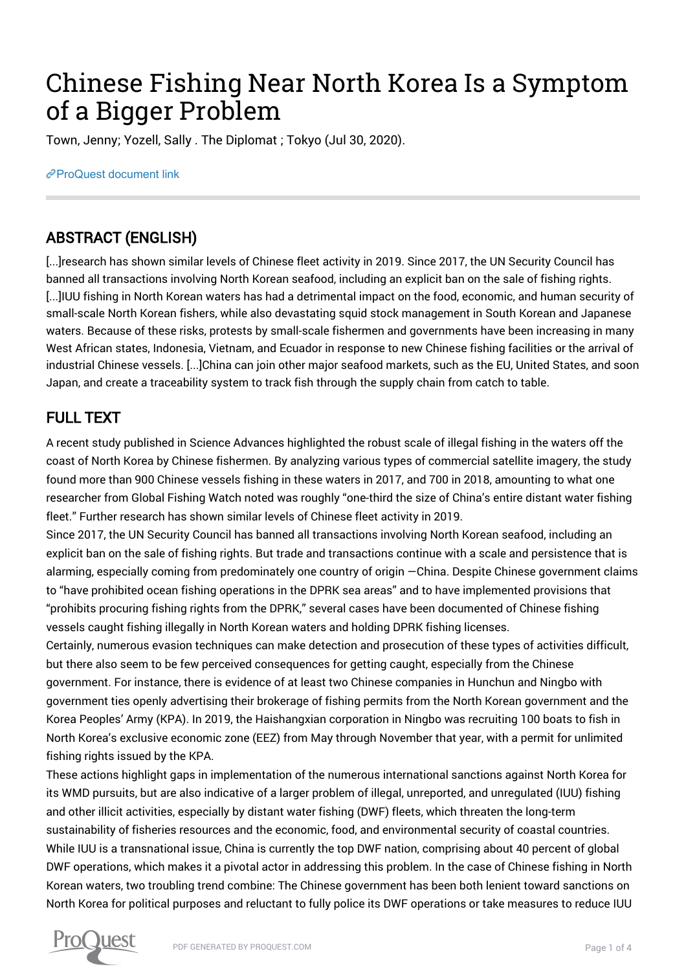## Chinese Fishing Near North Korea Is a Symptom of a Bigger Problem

Town, Jenny; Yozell, Sally . The Diplomat ; Tokyo (Jul 30, 2020).

[ProQuest document link](http://132.174.250.227/magazines/chinese-fishing-near-north-korea-is-symptom/docview/2428995340/se-2?accountid=8394)

## ABSTRACT (ENGLISH)

[...]research has shown similar levels of Chinese fleet activity in 2019. Since 2017, the UN Security Council has banned all transactions involving North Korean seafood, including an explicit ban on the sale of fishing rights. [...]IUU fishing in North Korean waters has had a detrimental impact on the food, economic, and human security of small-scale North Korean fishers, while also devastating squid stock management in South Korean and Japanese waters. Because of these risks, protests by small-scale fishermen and governments have been increasing in many West African states, Indonesia, Vietnam, and Ecuador in response to new Chinese fishing facilities or the arrival of industrial Chinese vessels. [...]China can join other major seafood markets, such as the EU, United States, and soon Japan, and create a traceability system to track fish through the supply chain from catch to table.

## FULL TEXT

A recent study published in Science Advances highlighted the robust scale of illegal fishing in the waters off the coast of North Korea by Chinese fishermen. By analyzing various types of commercial satellite imagery, the study found more than 900 Chinese vessels fishing in these waters in 2017, and 700 in 2018, amounting to what one researcher from Global Fishing Watch noted was roughly "one-third the size of China's entire distant water fishing fleet." Further research has shown similar levels of Chinese fleet activity in 2019.

Since 2017, the UN Security Council has banned all transactions involving North Korean seafood, including an explicit ban on the sale of fishing rights. But trade and transactions continue with a scale and persistence that is alarming, especially coming from predominately one country of origin —China. Despite Chinese government claims to "have prohibited ocean fishing operations in the DPRK sea areas" and to have implemented provisions that "prohibits procuring fishing rights from the DPRK," several cases have been documented of Chinese fishing vessels caught fishing illegally in North Korean waters and holding DPRK fishing licenses.

Certainly, numerous evasion techniques can make detection and prosecution of these types of activities difficult, but there also seem to be few perceived consequences for getting caught, especially from the Chinese government. For instance, there is evidence of at least two Chinese companies in Hunchun and Ningbo with government ties openly advertising their brokerage of fishing permits from the North Korean government and the Korea Peoples' Army (KPA). In 2019, the Haishangxian corporation in Ningbo was recruiting 100 boats to fish in North Korea's exclusive economic zone (EEZ) from May through November that year, with a permit for unlimited fishing rights issued by the KPA.

These actions highlight gaps in implementation of the numerous international sanctions against North Korea for its WMD pursuits, but are also indicative of a larger problem of illegal, unreported, and unregulated (IUU) fishing and other illicit activities, especially by distant water fishing (DWF) fleets, which threaten the long-term sustainability of fisheries resources and the economic, food, and environmental security of coastal countries. While IUU is a transnational issue, China is currently the top DWF nation, comprising about 40 percent of global DWF operations, which makes it a pivotal actor in addressing this problem. In the case of Chinese fishing in North Korean waters, two troubling trend combine: The Chinese government has been both lenient toward sanctions on North Korea for political purposes and reluctant to fully police its DWF operations or take measures to reduce IUU

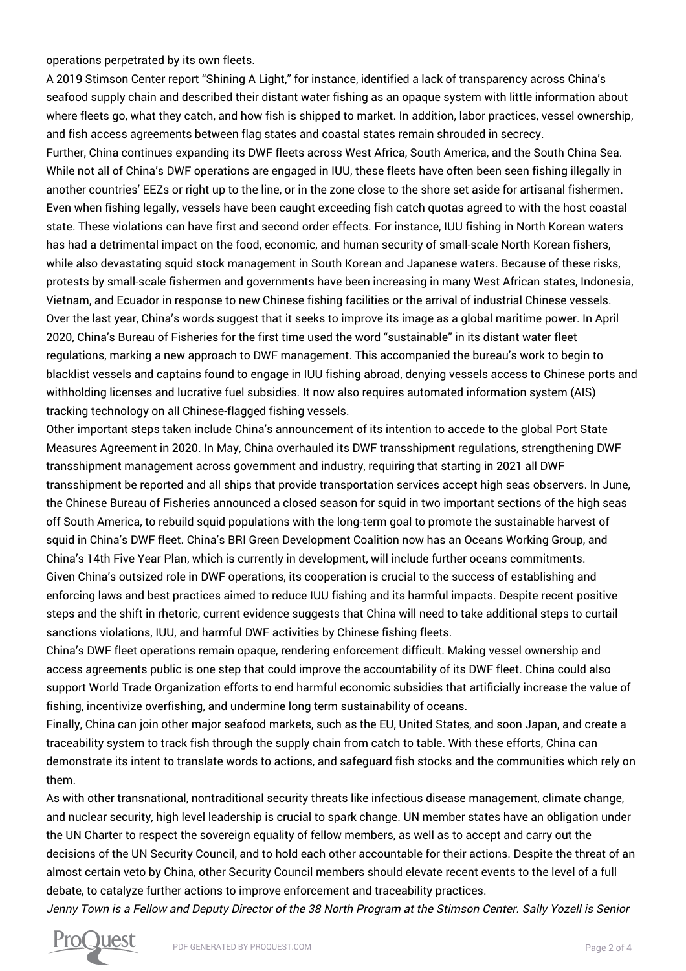operations perpetrated by its own fleets.

A 2019 Stimson Center report "Shining A Light," for instance, identified a lack of transparency across China's seafood supply chain and described their distant water fishing as an opaque system with little information about where fleets go, what they catch, and how fish is shipped to market. In addition, labor practices, vessel ownership, and fish access agreements between flag states and coastal states remain shrouded in secrecy.

Further, China continues expanding its DWF fleets across West Africa, South America, and the South China Sea. While not all of China's DWF operations are engaged in IUU, these fleets have often been seen fishing illegally in another countries' EEZs or right up to the line, or in the zone close to the shore set aside for artisanal fishermen. Even when fishing legally, vessels have been caught exceeding fish catch quotas agreed to with the host coastal state. These violations can have first and second order effects. For instance, IUU fishing in North Korean waters has had a detrimental impact on the food, economic, and human security of small-scale North Korean fishers, while also devastating squid stock management in South Korean and Japanese waters. Because of these risks, protests by small-scale fishermen and governments have been increasing in many West African states, Indonesia, Vietnam, and Ecuador in response to new Chinese fishing facilities or the arrival of industrial Chinese vessels. Over the last year, China's words suggest that it seeks to improve its image as a global maritime power. In April 2020, China's Bureau of Fisheries for the first time used the word "sustainable" in its distant water fleet regulations, marking a new approach to DWF management. This accompanied the bureau's work to begin to blacklist vessels and captains found to engage in IUU fishing abroad, denying vessels access to Chinese ports and withholding licenses and lucrative fuel subsidies. It now also requires automated information system (AIS) tracking technology on all Chinese-flagged fishing vessels.

Other important steps taken include China's announcement of its intention to accede to the global Port State Measures Agreement in 2020. In May, China overhauled its DWF transshipment regulations, strengthening DWF transshipment management across government and industry, requiring that starting in 2021 all DWF transshipment be reported and all ships that provide transportation services accept high seas observers. In June, the Chinese Bureau of Fisheries announced a closed season for squid in two important sections of the high seas off South America, to rebuild squid populations with the long-term goal to promote the sustainable harvest of squid in China's DWF fleet. China's BRI Green Development Coalition now has an Oceans Working Group, and China's 14th Five Year Plan, which is currently in development, will include further oceans commitments. Given China's outsized role in DWF operations, its cooperation is crucial to the success of establishing and enforcing laws and best practices aimed to reduce IUU fishing and its harmful impacts. Despite recent positive steps and the shift in rhetoric, current evidence suggests that China will need to take additional steps to curtail sanctions violations, IUU, and harmful DWF activities by Chinese fishing fleets.

China's DWF fleet operations remain opaque, rendering enforcement difficult. Making vessel ownership and access agreements public is one step that could improve the accountability of its DWF fleet. China could also support World Trade Organization efforts to end harmful economic subsidies that artificially increase the value of fishing, incentivize overfishing, and undermine long term sustainability of oceans.

Finally, China can join other major seafood markets, such as the EU, United States, and soon Japan, and create a traceability system to track fish through the supply chain from catch to table. With these efforts, China can demonstrate its intent to translate words to actions, and safeguard fish stocks and the communities which rely on them.

As with other transnational, nontraditional security threats like infectious disease management, climate change, and nuclear security, high level leadership is crucial to spark change. UN member states have an obligation under the UN Charter to respect the sovereign equality of fellow members, as well as to accept and carry out the decisions of the UN Security Council, and to hold each other accountable for their actions. Despite the threat of an almost certain veto by China, other Security Council members should elevate recent events to the level of a full debate, to catalyze further actions to improve enforcement and traceability practices.

Jenny Town is a Fellow and Deputy Director of the 38 North Program at the Stimson Center. Sally Yozell is Senior

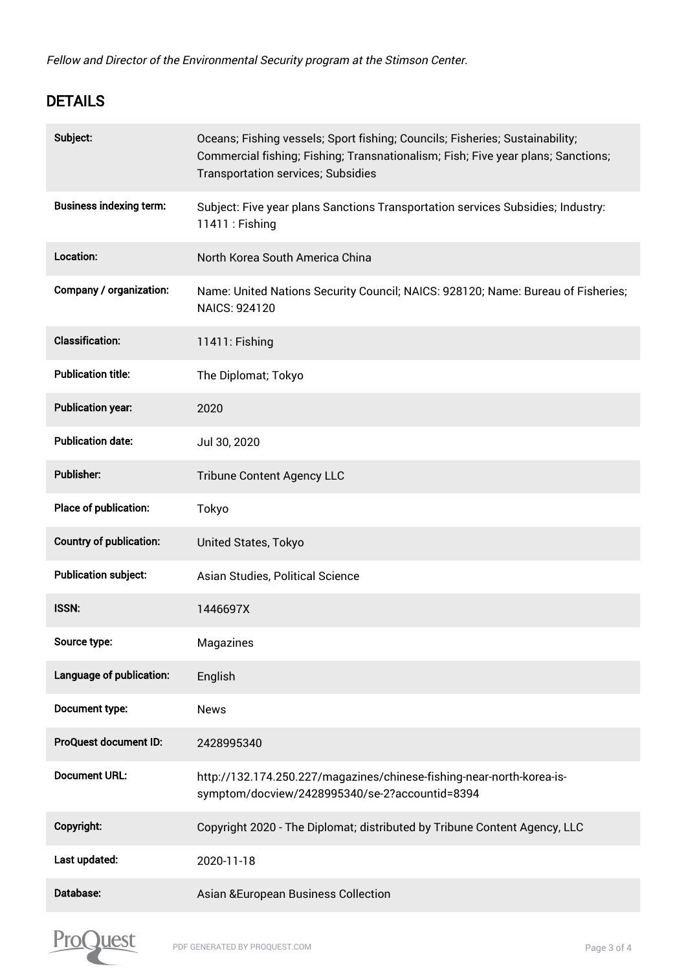Fellow and Director of the Environmental Security program at the Stimson Center.

## DETAILS

| Subject:                       | Oceans; Fishing vessels; Sport fishing; Councils; Fisheries; Sustainability;<br>Commercial fishing; Fishing; Transnationalism; Fish; Five year plans; Sanctions;<br><b>Transportation services; Subsidies</b> |
|--------------------------------|---------------------------------------------------------------------------------------------------------------------------------------------------------------------------------------------------------------|
| <b>Business indexing term:</b> | Subject: Five year plans Sanctions Transportation services Subsidies; Industry:<br>11411 : Fishing                                                                                                            |
| Location:                      | North Korea South America China                                                                                                                                                                               |
| Company / organization:        | Name: United Nations Security Council; NAICS: 928120; Name: Bureau of Fisheries;<br>NAICS: 924120                                                                                                             |
| <b>Classification:</b>         | 11411: Fishing                                                                                                                                                                                                |
| <b>Publication title:</b>      | The Diplomat; Tokyo                                                                                                                                                                                           |
| <b>Publication year:</b>       | 2020                                                                                                                                                                                                          |
| <b>Publication date:</b>       | Jul 30, 2020                                                                                                                                                                                                  |
| <b>Publisher:</b>              | <b>Tribune Content Agency LLC</b>                                                                                                                                                                             |
| Place of publication:          | Tokyo                                                                                                                                                                                                         |
| <b>Country of publication:</b> | United States, Tokyo                                                                                                                                                                                          |
| <b>Publication subject:</b>    | Asian Studies, Political Science                                                                                                                                                                              |
| <b>ISSN:</b>                   | 1446697X                                                                                                                                                                                                      |
| Source type:                   | Magazines                                                                                                                                                                                                     |
| Language of publication:       | English                                                                                                                                                                                                       |
| Document type:                 | <b>News</b>                                                                                                                                                                                                   |
| ProQuest document ID:          | 2428995340                                                                                                                                                                                                    |
| <b>Document URL:</b>           | http://132.174.250.227/magazines/chinese-fishing-near-north-korea-is-<br>symptom/docview/2428995340/se-2?accountid=8394                                                                                       |
| Copyright:                     | Copyright 2020 - The Diplomat; distributed by Tribune Content Agency, LLC                                                                                                                                     |
| Last updated:                  | 2020-11-18                                                                                                                                                                                                    |
| Database:                      | <b>Asian &amp;European Business Collection</b>                                                                                                                                                                |